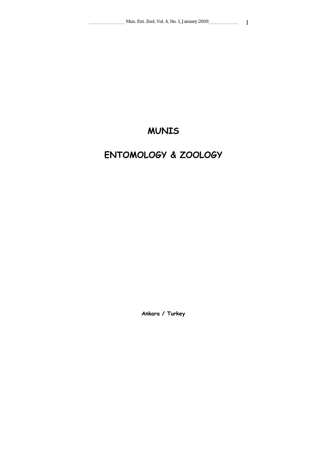# **MUNIS**

# **ENTOMOLOGY & ZOOLOGY**

**Ankara / Turkey**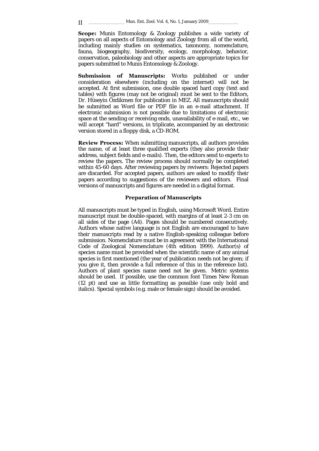**Scope:** Munis Entomology & Zoology publishes a wide variety of papers on all aspects of Entomology and Zoology from all of the world, including mainly studies on systematics, taxonomy, nomenclature, fauna, biogeography, biodiversity, ecology, morphology, behavior, conservation, paleobiology and other aspects are appropriate topics for papers submitted to Munis Entomology & Zoology.

**Submission of Manuscripts:** Works published or under consideration elsewhere (including on the internet) will not be accepted. At first submission, one double spaced hard copy (text and tables) with figures (may not be original) must be sent to the Editors, Dr. Hüseyin Özdikmen for publication in MEZ. All manuscripts should be submitted as Word file or PDF file in an e-mail attachment. If electronic submission is not possible due to limitations of electronic space at the sending or receiving ends, unavailability of e-mail, etc., we will accept "hard" versions, in triplicate, accompanied by an electronic version stored in a floppy disk, a CD-ROM.

**Review Process:** When submitting manuscripts, all authors provides the name, of at least three qualified experts (they also provide their address, subject fields and e-mails). Then, the editors send to experts to review the papers. The review process should normally be completed within 45-60 days. After reviewing papers by reviwers: Rejected papers are discarded. For accepted papers, authors are asked to modify their papers according to suggestions of the reviewers and editors. Final versions of manuscripts and figures are needed in a digital format.

#### **Preparation of Manuscripts**

All manuscripts must be typed in English, using Microsoft Word. Entire manuscript must be double-spaced, with margins of at least 2-3 cm on all sides of the page (A4). Pages should be numbered consecutively. Authors whose native language is not English are encouraged to have their manuscripts read by a native English-speaking colleague before submission. Nomenclature must be in agreement with the International Code of Zoological Nomenclature (4th edition 1999). Author(s) of species name must be provided when the scientific name of any animal species is first mentioned (the year of publication needs not be given; if you give it, then provide a full reference of this in the reference list). Authors of plant species name need not be given. Metric systems should be used. If possible, use the common font Times New Roman (12 pt) and use as little formatting as possible (use only bold and italics). Special symbols (e.g. male or female sign) should be avoided.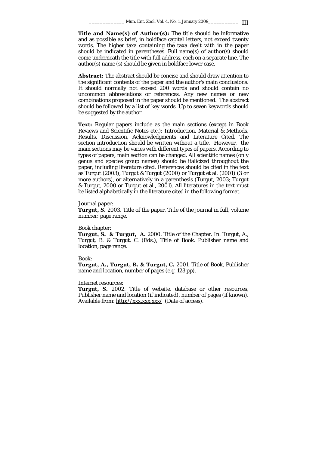**Title and Name(s) of Author(s):** The title should be informative and as possible as brief, in boldface capital letters, not exceed twenty words. The higher taxa containing the taxa dealt with in the paper should be indicated in parentheses. Full name(s) of author(s) should come underneath the title with full address, each on a separate line. The author(s) name (s) should be given in boldface lower case.

**Abstract:** The abstract should be concise and should draw attention to the significant contents of the paper and the author's main conclusions. It should normally not exceed 200 words and should contain no uncommon abbreviations or references. Any new names or new combinations proposed in the paper should be mentioned. The abstract should be followed by a list of key words. Up to seven keywords should be suggested by the author.

**Text:** Regular papers include as the main sections (except in Book Reviews and Scientific Notes etc.); Introduction, Material & Methods, Results, Discussion, Acknowledgments and Literature Cited. The section introduction should be written without a title. However, the main sections may be varies with different types of papers. According to types of papers, main section can be changed. All scientific names (only genus and species group names) should be italicized throughout the paper, including literature cited. References should be cited in the text as Turgut (2003), Turgut & Turgut (2000) or Turgut et al. (2001) (3 or more authors), or alternatively in a parenthesis (Turgut, 2003; Turgut & Turgut, 2000 or Turgut et al., 2001). All literatures in the text must be listed alphabetically in the literature cited in the following format.

#### Journal paper:

**Turgut, S.** 2003. Title of the paper. Title of the journal in full, volume number: page range.

#### Book chapter:

**Turgut, S. & Turgut, A.** 2000. Title of the Chapter. In: Turgut, A., Turgut, B. & Turgut, C. (Eds.), Title of Book. Publisher name and location, page range.

#### Book:

**Turgut, A., Turgut, B. & Turgut, C.** 2001. Title of Book, Publisher name and location, number of pages (e.g. 123 pp).

#### Internet resources:

**Turgut, S.** 2002. Title of website, database or other resources, Publisher name and location (if indicated), number of pages (if known). Available from: http://xxx.xxx.xxx/ (Date of access).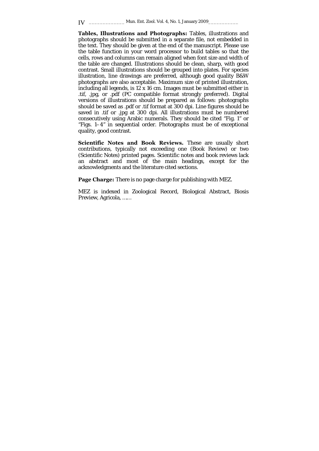**Tables, Illustrations and Photographs:** Tables, illustrations and photographs should be submitted in a separate file, not embedded in the text. They should be given at the end of the manuscript. Please use the table function in your word processor to build tables so that the cells, rows and columns can remain aligned when font size and width of the table are changed. Illustrations should be clean, sharp, with good contrast. Small illustrations should be grouped into plates. For species illustration, line drawings are preferred, although good quality B&W photographs are also acceptable. Maximum size of printed illustration, including all legends, is 12 x 16 cm. Images must be submitted either in .tif, .jpg, or .pdf (PC compatible format strongly preferred). Digital versions of illustrations should be prepared as follows: photographs should be saved as .pdf or .tif format at 300 dpi. Line figures should be saved in .tif or .jpg at 300 dpi. All illustrations must be numbered consecutively using Arabic numerals. They should be cited "Fig. 1" or "Figs. 1–4" in sequential order. Photographs must be of exceptional quality, good contrast.

**Scientific Notes and Book Reviews.** These are usually short contributions, typically not exceeding one (Book Review) or two (Scientific Notes) printed pages. Scientific notes and book reviews lack an abstract and most of the main headings, except for the acknowledgments and the literature cited sections.

**Page Charge:** There is no page charge for publishing with MEZ.

MEZ is indexed in Zoological Record, Biological Abstract, Biosis Preview, Agricola, ……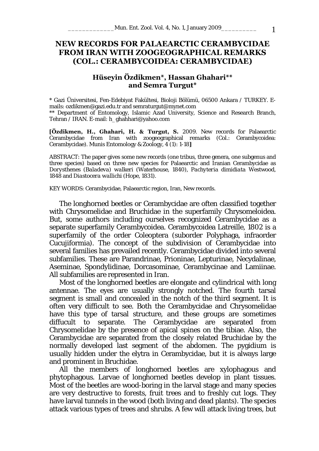# **NEW RECORDS FOR PALAEARCTIC CERAMBYCIDAE FROM IRAN WITH ZOOGEOGRAPHICAL REMARKS (COL.: CERAMBYCOIDEA: CERAMBYCIDAE)**

## **Hüseyin Özdikmen\*, Hassan Ghahari\*\* and Semra Turgut\***

\* Gazi Üniversitesi, Fen-Edebiyat Fakültesi, Bioloji Bölümü, 06500 Ankara / TURKEY. Emails: ozdikmen@gazi.edu.tr and semraturgut@mynet.com \*\* Department of Entomology, Islamic Azad University, Science and Research Branch,

Tehran / IRAN. E-mail: h\_ghahhari@yahoo.com

**[Özdikmen, H., Ghahari, H. & Turgut, S.** 2009. New records for Palaearctic Cerambycidae from Iran with zoogeographical remarks (Col.: Cerambycoidea: Cerambycidae). Munis Entomology & Zoology, 4 (1): 1-18**]** 

ABSTRACT: The paper gives some new records (one tribus, three genera, one subgenus and three species) based on three new species for Palaearctic and Iranian Cerambycidae as *Dorysthenes* (*Baladeva*) *walkeri* (Waterhouse, 1840), *Pachyteria dimidiata* Westwood, 1848 and *Diastocera wallichi* (Hope, 1831).

KEY WORDS: Cerambycidae, Palaearctic region, Iran, New records.

The longhorned beetles or Cerambycidae are often classified together with Chrysomelidae and Bruchidae in the superfamily Chrysomeloidea. But, some authors including ourselves recognized Cerambycidae as a separate superfamily Cerambycoidea. Cerambycoidea Latreille, 1802 is a superfamily of the order Coleoptera (suborder Polyphaga, infraorder Cucujiformia). The concept of the subdivision of Cerambycidae into several families has prevailed recently. Cerambycidae divided into several subfamilies. These are Parandrinae, Prioninae, Lepturinae, Necydalinae, Aseminae, Spondylidinae, Dorcasominae, Cerambycinae and Lamiinae. All subfamilies are represented in Iran.

Most of the longhorned beetles are elongate and cylindrical with long antennae. The eyes are usually strongly notched. The fourth tarsal segment is small and concealed in the notch of the third segment. It is often very difficult to see. Both the Cerambycidae and Chrysomelidae have this type of tarsal structure, and these groups are sometimes diffucult to separate. The Cerambycidae are separated from Chrysomelidae by the presence of apical spines on the tibiae. Also, the Cerambycidae are separated from the closely related Bruchidae by the normally developed last segment of the abdomen. The pygidium is usually hidden under the elytra in Cerambycidae, but it is always large and prominent in Bruchidae.

All the members of longhorned beetles are xylophagous and phytophagous. Larvae of longhorned beetles develop in plant tissues. Most of the beetles are wood-boring in the larval stage and many species are very destructive to forests, fruit trees and to freshly cut logs. They have larval tunnels in the wood (both living and dead plants). The species attack various types of trees and shrubs. A few will attack living trees, but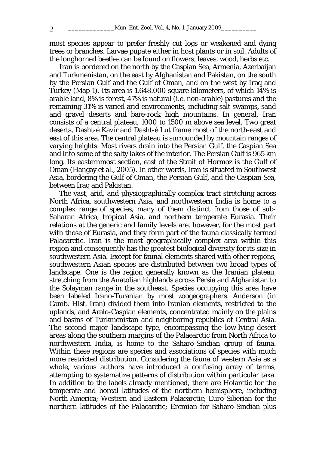most species appear to prefer freshly cut logs or weakened and dying trees or branches. Larvae pupate either in host plants or in soil. Adults of the longhorned beetles can be found on flowers, leaves, wood, herbs etc.

Iran is bordered on the north by the Caspian Sea, Armenia, Azerbaijan and Turkmenistan, on the east by Afghanistan and Pakistan, on the south by the Persian Gulf and the Gulf of Oman, and on the west by Iraq and Turkey (Map 1). Its area is 1.648.000 square kilometers, of which 14% is arable land, 8% is forest, 47% is natural (i.e. non-arable) pastures and the remaining 31% is varied arid environments, including salt swamps, sand and gravel deserts and bare-rock high mountains. In general, Iran consists of a central plateau, 1000 to 1500 m above sea level. Two great deserts, Dasht-é Kavir and Dasht-é Lut frame most of the north-east and east of this area. The central plateau is surrounded by mountain ranges of varying heights. Most rivers drain into the Persian Gulf, the Caspian Sea and into some of the salty lakes of the interior. The Persian Gulf is 965 km long. Its easternmost section, east of the Strait of Hormoz is the Gulf of Oman (Hangay et al., 2005). In other words, Iran is situated in Southwest Asia, bordering the Gulf of Oman, the Persian Gulf, and the Caspian Sea, between Iraq and Pakistan.

The vast, arid, and physiographically complex tract stretching across North Africa, southwestern Asia, and northwestern India is home to a complex range of species, many of them distinct from those of sub-Saharan Africa, tropical Asia, and northern temperate Eurasia. Their relations at the generic and family levels are, however, for the most part with those of Eurasia, and they form part of the fauna classically termed Palaearctic. Iran is the most geographically complex area within this region and consequently has the greatest biological diversity for its size in southwestern Asia. Except for faunal elements shared with other regions, southwestern Asian species are distributed between two broad types of landscape. One is the region generally known as the Iranian plateau, stretching from the Anatolian highlands across Persia and Afghanistan to the Solayman range in the southeast. Species occupying this area have been labeled Irano-Turanian by most zoogeographers. Anderson (in Camb. Hist. Iran) divided them into Iranian elements, restricted to the uplands, and Aralo-Caspian elements, concentrated mainly on the plains and basins of Turkmenistan and neighboring republics of Central Asia. The second major landscape type, encompassing the low-lying desert areas along the southern margins of the Palaearctic from North Africa to northwestern India, is home to the Saharo-Sindian group of fauna. Within these regions are species and associations of species with much more restricted distribution. Considering the fauna of western Asia as a whole, various authors have introduced a confusing array of terms, attempting to systematize patterns of distribution within particular taxa. In addition to the labels already mentioned, there are Holarctic for the temperate and boreal latitudes of the northern hemisphere, including North America; Western and Eastern Palaearctic; Euro-Siberian for the northern latitudes of the Palaearctic; Eremian for Saharo-Sindian plus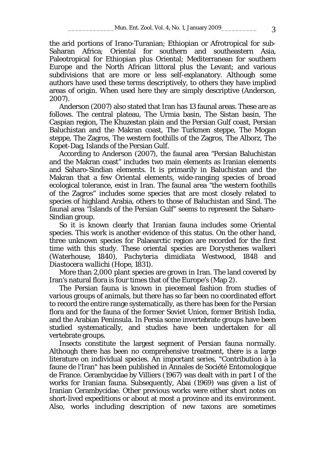the arid portions of Irano-Turanian; Ethiopian or Afrotropical for sub-Saharan Africa; Oriental for southern and southeastern Asia, Paleotropical for Ethiopian plus Oriental; Mediterranean for southern Europe and the North African littoral plus the Levant; and various subdivisions that are more or less self-explanatory. Although some authors have used these terms descriptively, to others they have implied areas of origin. When used here they are simply descriptive (Anderson, 2007).

Anderson (2007) also stated that Iran has 13 faunal areas. These are as follows. The central plateau, The Urmia basin, The Sistan basin, The Caspian region, The Khuzestan plain and the Persian Gulf coast, Persian Baluchistan and the Makran coast, The Turkmen steppe, The Mogan steppe, The Zagros, The western foothills of the Zagros, The Alborz, The Kopet-Dag, Islands of the Persian Gulf.

According to Anderson (2007), the faunal area "Persian Baluchistan and the Makran coast" includes two main elements as Iranian elements and Saharo-Sindian elements. It is primarily in Baluchistan and the Makran that a few Oriental elements, wide-ranging species of broad ecological tolerance, exist in Iran. The faunal area "the western foothills of the Zagros" includes some species that are most closely related to species of highland Arabia, others to those of Baluchistan and Sind. The faunal area "Islands of the Persian Gulf" seems to represent the Saharo-Sindian group.

So it is known clearly that Iranian fauna includes some Oriental species. This work is another evidence of this status. On the other hand, three unknown species for Palaearctic region are recorded for the first time with this study. These oriental species are *Dorysthenes walkeri* (Waterhouse, 1840), *Pachyteria dimidiata* Westwood, 1848 and *Diastocera wallichi* (Hope, 1831).

More than 2,000 plant species are grown in Iran. The land covered by Iran's natural flora is four times that of the Europe's (Map 2).

 The Persian fauna is known in piecemeal fashion from studies of various groups of animals, but there has so far been no coordinated effort to record the entire range systematically, as there has been for the Persian flora and for the fauna of the former Soviet Union, former British India, and the Arabian Peninsula. In Persia some invertebrate groups have been studied systematically, and studies have been undertaken for all vertebrate groups.

Insects constitute the largest segment of Persian fauna normally. Although there has been no comprehensive treatment, there is a large literature on individual species. An important series, "Contribution à la faune de l'Iran" has been published in Annales de Société Entomologique de France. Cerambycidae by Villiers (1967) was dealt with in part I of the works for Iranian fauna. Subsequently, Abai (1969) was given a list of Iranian Cerambycidae. Other previous works were either short notes on short-lived expeditions or about at most a province and its environment. Also, works including description of new taxons are sometimes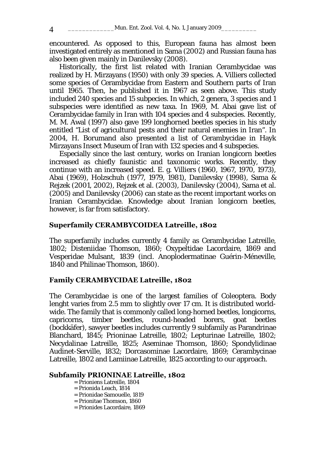encountered. As opposed to this, European fauna has almost been investigated entirely as mentioned in Sama (2002) and Russian fauna has also been given mainly in Danilevsky (2008).

Historically, the first list related with Iranian Cerambycidae was realized by H. Mirzayans (1950) with only 39 species. A. Villiers collected some species of Cerambycidae from Eastern and Southern parts of Iran until 1965. Then, he published it in 1967 as seen above. This study included 240 species and 15 subpecies. In which, 2 genera, 3 species and 1 subspecies were identified as new taxa. In 1969, M. Abai gave list of Cerambycidae family in Iran with 104 species and 4 subspecies. Recently, M. M. Awal (1997) also gave 199 longhorned beetles species in his study entitled "List of agricultural pests and their natural enemies in Iran". In 2004, H. Borumand also presented a list of Cerambycidae in Hayk Mirzayans Insect Museum of Iran with 132 species and 4 subspecies.

Especially since the last century, works on Iranian longicorn beetles increased as chiefly faunistic and taxonomic works. Recently, they continue with an increased speed. E. g. Villiers (1960, 1967, 1970, 1973), Abai (1969), Holzschuh (1977, 1979, 1981), Danilevsky (1998), Sama & Rejzek (2001, 2002), Rejzek et al. (2003), Danilevsky (2004), Sama et al. (2005) and Danilevsky (2006) can state as the recent important works on Iranian Cerambycidae. Knowledge about Iranian longicorn beetles, however, is far from satisfactory.

#### **Superfamily CERAMBYCOIDEA Latreille, 1802**

The superfamily includes currently 4 family as Cerambycidae Latreille, 1802; Disteniidae Thomson, 1860; Oxypeltidae Lacordaire, 1869 and Vesperidae Mulsant, 1839 (incl. Anoplodermatinae Guérin-Méneville, 1840 and Philinae Thomson, 1860).

#### **Family CERAMBYCIDAE Latreille, 1802**

The Cerambycidae is one of the largest families of Coleoptera. Body lenght varies from 2.5 mm to slightly over 17 cm. It is distributed worldwide. The family that is commonly called long-horned beetles, longicorns, capricorns, timber beetles, round-headed borers, goat beetles (bockkäfer), sawyer beetles includes currently 9 subfamily as Parandrinae Blanchard, 1845; Prioninae Latreille, 1802; Lepturinae Latreille, 1802; Necydalinae Latreille, 1825; Aseminae Thomson, 1860; Spondylidinae Audinet-Serville, 1832; Dorcasominae Lacordaire, 1869; Cerambycinae Latreille, 1802 and Lamiinae Latreille, 1825 according to our approach.

#### **Subfamily PRIONINAE Latreille, 1802**

- = Prioniens Latreille, 1804
- = Prionida Leach, 1814
- = Prionidae Samouelle, 1819
- = Prionitae Thomson, 1860
- = Prionides Lacordaire, 1869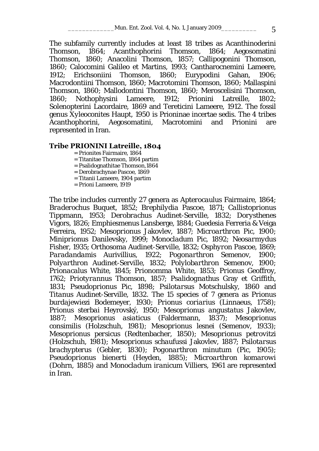The subfamily currently includes at least 18 tribes as Acanthinoderini Thomson, 1864; Acanthophorini Thomson, 1864; Aegosomatini Thomson, 1860; Anacolini Thomson, 1857; Callipogonini Thomson, 1860; Calocomini Galileo et Martins, 1993; Cantharocnemini Lameere, 1912; Erichsoniini Thomson, 1860; Eurypodini Gahan, 1906; Macrodontiini Thomson, 1860; Macrotomini Thomson, 1860; Mallaspini Thomson, 1860; Mallodontini Thomson, 1860; Meroscelisini Thomson, 1860; Nothophysini Lameere, 1912; Prionini Latreille, 1802; Solenopterini Lacordaire, 1869 and Tereticini Lameere, 1912. The fossil genus *Xyleoconites* Haupt, 1950 is Prioninae incertae sedis. The 4 tribes Acanthophorini, Aegosomatini, Macrotomini and Prionini are represented in Iran.

#### **Tribe PRIONINI Latreille, 1804**

- = Prionites Fairmaire, 1864
- = Titanitae Thomson, 1864 partim
- = Psalidognathitae Thomson,1864
- = Derobrachynae Pascoe, 1869
- = Titanii Lameere, 1904 partim
- = Prioni Lameere, 1919

The tribe includes currently 27 genera as *Apterocaulus* Fairmaire, 1864; *Braderochus* Buquet, 1852; *Brephilydia* Pascoe, 1871; *Callistoprionus* Tippmann, 1953; *Derobrachus* Audinet-Serville, 1832; *Dorysthenes* Vigors, 1826; *Emphiesmenus* Lansberge, 1884; *Guedesia* Ferreria & Veiga Ferreira, 1952; *Mesoprionus* Jakovlev, 1887; *Microarthron* Pic, 1900; *Miniprionus* Danilevsky, 1999; *Monocladum* Pic, 1892; *Neosarmydus* Fisher, 1935; *Orthosoma* Audinet-Serville, 1832; *Osphyron* Pascoe, 1869; *Paradandamis* Aurivillius, 1922; *Pogonarthron* Semenov, 1900; *Polyarthron* Audinet-Serville, 1832; *Polylobarthron* Semenov, 1900; *Prionacalus* White, 1845; *Prionomma* White, 1853; *Prionus* Geoffroy, 1762; *Priotyrannus* Thomson, 1857; *Psalidognathus* Gray et Griffith, 1831; *Pseudoprionus* Pic, 1898; *Psilotarsus* Motschulsky, 1860 and *Titanus* Audinet-Serville, 1832. The 15 species of 7 genera as *Prionus burdajewiezi* Bodemeyer, 1930; *Prionus coriarius* (Linnaeus, 1758); *Prionus sterbai* Heyrovský, 1950; *Mesoprionus angustatus* Jakovlev, 1887; *Mesoprionus asiaticus* (Faldermann, 1837); *Mesoprionus consimilis* (Holzschuh, 1981); *Mesoprionus lesnei* (Semenov, 1933); *Mesoprionus persicus* (Redtenbacher, 1850); *Mesoprionus petrovitzi*  (Holzschuh, 1981); *Mesoprionus schaufussi* Jakovlev, 1887; *Psilotarsus brachypterus* (Gebler, 1830); *Pogonarthron minutum* (Pic, 1905); *Pseudoprionus bienerti* (Heyden, 1885); *Microarthron komarowi*  (Dohrn, 1885) and *Monocladum iranicum* Villiers, 1961 are represented in Iran.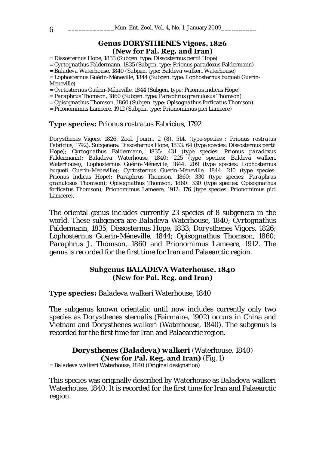#### **Genus** *DORYSTHENES* **Vigors, 1826 (New for Pal. Reg. and Iran)**

= *Dissosternus* Hope, 1833 (Subgen. type: *Dissosternus pertii* Hope)

= *Cyrtognathus* Faldermann, 1835 (Subgen. type: *Prionus paradoxus* Faldermann)

= *Baladeva* Waterhouse, 1840 (Subgen. type: *Baldeva walkeri* Waterhouse)

= *Lophosternus* Guérin-Méneville, 1844 (Subgen. type: *Lophosternus buqueti* Guerin-Meneville)

= *Cyrtosternus* Guérin-Méneville, 1844 (Subgen. type: *Prionus indicus* Hope)

= *Paraphrus* Thomson, 1860 (Subgen. type: *Paraphrus granulosus* Thomson)

= *Opisognathus* Thomson, 1860 (Subgen. type: *Opisognathus forficatus* Thomson)

= *Prionomimus* Lameere, 1912 (Subgen. type: *Prionomimus pici* Lameere)

#### **Type species:** *Prionus rostratus* Fabricius, 1792

*Dorysthenes* Vigors, 1826, Zool. Journ., 2 (8), 514. (type-species : *Prionus rostratus*  Fabricius, 1792). Subgenera: *Dissosternus* Hope, 1833: 64 (type species: *Dissosternus pertii*  Hope); *Cyrtognathus* Faldermann, 1835: 431 (type species: *Prionus paradoxus*  Faldermann); *Baladeva* Waterhouse, 1840: 225 (type species: *Baldeva walkeri*  Waterhouse); *Lophosternus* Guérin-Méneville, 1844: 209 (type species: *Lophosternus buqueti* Guerin-Meneville); *Cyrtosternus* Guérin-Méneville, 1844: 210 (type species: *Prionus indicus* Hope); *Paraphrus* Thomson, 1860: 330 (type species: *Paraphrus granulosus* Thomson); *Opisognathus* Thomson, 1860: 330 (type species: *Opisognathus forficatus* Thomson); *Prionomimus* Lameere, 1912: 176 (type species: *Prionomimus pici*  Lameere).

The oriental genus includes currently 23 species of 8 subgenera in the world. These subgenera are *Baladeva* Waterhouse, 1840; *Cyrtognathus* Faldermann, 1835; *Dissosternus* Hope, 1833; *Dorysthenes* Vigors, 1826; *Lophosternus* Guérin-Méneville, 1844; *Opisognathus* Thomson, 1860; *Paraphrus* J. Thomson, 1860 and *Prionomimus* Lameere, 1912. The genus is recorded for the first time for Iran and Palaearctic region.

## **Subgenus** *BALADEVA* **Waterhouse, 1840 (New for Pal. Reg. and Iran)**

**Type species:** *Baladeva walkeri* Waterhouse, 1840

The subgenus known orientalic until now includes currently only two species as *Dorysthenes sternalis* (Fairmaire, 1902) occurs in China and Vietnam and *Dorysthenes walkeri* (Waterhouse, 1840). The subgenus is recorded for the first time for Iran and Palaearctic region.

*Dorysthenes* **(***Baladeva***)** *walkeri* (Waterhouse, 1840) **(New for Pal. Reg. and Iran)** (Fig. 1) = *Baladeva walkeri* Waterhouse, 1840 (Original designation)

This species was originally described by Waterhouse as *Baladeva walkeri* Waterhouse, 1840. It is recorded for the first time for Iran and Palaearctic region.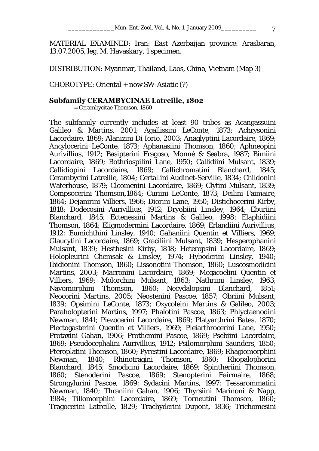MATERIAL EXAMINED: Iran: East Azerbaijan province: Arasbaran, 13.07.2005, leg. M. Havaskary, 1 specimen.

DISTRIBUTION: Myanmar, Thailand, Laos, China, Vietnam (Map 3)

CHOROTYPE: Oriental + now SW-Asiatic (?)

#### **Subfamily CERAMBYCINAE Latreille, 1802**

= Cerambycitae Thomson, 1860

The subfamily currently includes at least 90 tribes as Acangassuini Galileo & Martins, 2001; Agallissini LeConte, 1873; Achrysonini Lacordaire, 1869; Alanizini Di Iorio, 2003; Anaglyptini Lacordaire, 1869; Ancylocerini LeConte, 1873; Aphanasiini Thomson, 1860; Aphneopini Aurivillius, 1912; Basipterini Fragoso, Monné & Seabra, 1987; Bimiini Lacordaire, 1869; Bothriospilini Lane, 1950; Callidiini Mulsant, 1839; Callidiopini Lacordaire, 1869; Callichromatini Blanchard, 1845; Cerambycini Latreille, 1804; Certallini Audinet-Serville, 1834; Childonini Waterhouse, 1879; Cleomenini Lacordaire, 1869; Clytini Mulsant, 1839; Compsocerini Thomson,1864; Curiini LeConte, 1873; Deilini Faimaire, 1864; Dejanirini Villiers, 1966; Diorini Lane, 1950; Distichocerini Kirby, 1818; Dodecosini Aurivillius, 1912; Dryobiini Linsley, 1964; Eburiini Blanchard, 1845; Ectenessini Martins & Galileo, 1998; Elaphidiini Thomson, 1864; Eligmodermini Lacordaire, 1869; Erlandiini Aurivillius, 1912; Eumichthini Linsley, 1940; Gahaniini Quentin et Villiers, 1969; Glaucytini Lacordaire, 1869; Graciliini Mulsant, 1839; Hesperophanini Mulsant, 1839; Hesthesini Kirby, 1818; Heteropsini Lacordaire, 1869; Holopleurini Chemsak & Linsley, 1974; Hyboderini Linsley, 1940; Ibidionini Thomson, 1860; Lissonotini Thomson, 1860; Luscosmodicini Martins, 2003; Macronini Lacordaire, 1869; Megacoelini Quentin et Villiers, 1969; Molorchini Mulsant, 1863; Nathriini Linsley, 1963; Navomorphini Thomson, 1860; Necydalopsini Blanchard, 1851; Neocorini Martins, 2005; Neostenini Pascoe, 1857; Obriini Mulsant, 1839; Opsimini LeConte, 1873; Oxycoleini Martins & Galileo, 2003; Paraholopterini Martins, 1997; Phalotini Pascoe, 1863; Phlyctaenodini Newman, 1841; Piezocerini Lacordaire, 1869; Platyarthrini Bates, 1870; Plectogasterini Quentin et Villiers, 1969; Pleiarthrocerini Lane, 1950; Protaxini Gahan, 1906; Prothemini Pascoe, 1869; Psebiini Lacordaire, 1869; Pseudocephalini Aurivillius, 1912; Psilomorphini Saunders, 1850; Pteroplatini Thomson, 1860; Pyrestini Lacordaire, 1869; Rhagiomorphini Newman, 1840; Rhinotragini Thomson, 1860; Rhopalophorini Blanchard, 1845; Smodicini Lacordaire, 1869; Spintheriini Thomson, 1860; Stenoderini Pascoe, 1869; Stenopterini Fairmaire, 1868; Strongylurini Pascoe, 1869; Sydacini Martins, 1997; Tessarommatini Newman, 1840; Thraniini Gahan, 1906; Thyrsiini Marinoni & Napp, 1984; Tillomorphini Lacordaire, 1869; Torneutini Thomson, 1860; Tragocerini Latreille, 1829; Trachyderini Dupont, 1836; Trichomesini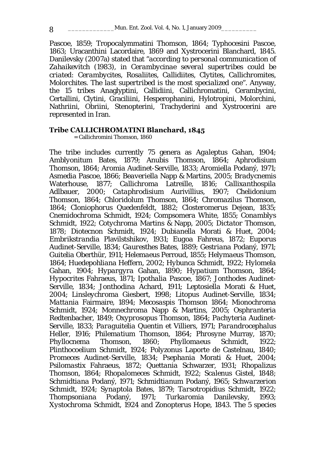Pascoe, 1859; Tropocalymmatini Thomson, 1864; Typhocesini Pascoe, 1863; Uracanthini Lacordaire, 1869 and Xystrocerini Blanchard, 1845. Danilevsky (2007a) stated that "*according to personal communication of Zahaikevitch (1983), in Cerambycinae several supertribes could be criated: Cerambycites, Rosaliites, Callidiites, Clytites, Callichromites, Molorchites. The last supertribed is the most specialized one*". Anyway, the 15 tribes Anaglyptini, Callidiini, Callichromatini, Cerambycini, Certallini, Clytini, Graciliini, Hesperophanini, Hylotropini, Molorchini, Nathriini, Obriini, Stenopterini, Trachyderini and Xystrocerini are represented in Iran.

#### **Tribe CALLICHROMATINI Blanchard, 1845**

= Callichromini Thomson, 1860

The tribe includes currently 75 genera as *Agaleptus* Gahan, 1904; *Amblyonitum* Bates, 1879; *Anubis* Thomson, 1864; *Aphrodisium* Thomson, 1864; *Aromia* Audinet-Serville, 1833; *Aromiella* Podaný, 1971; *Asmedia* Pascoe, 1866; *Beaveriella* Napp & Martins, 2005; *Bradycnemis* Waterhouse, 1877; *Callichroma* Latreille, 1816; *Callixanthospila* Adlbauer, 2000; *Cataphrodisium* Aurivillius, 1907; *Chelidonium* Thomson, 1864; *Chloridolum* Thomson, 1864; *Chromazilus* Thomson, 1864; *Cloniophorus* Quedenfeldt, 1882; *Closteromerus* Dejean, 1835; *Cnemidochroma* Schmidt, 1924; *Compsomera* White, 1855; *Conamblys* Schmidt, 1922; *Cotychroma* Martins & Napp, 2005; *Dictator* Thomson, 1878; *Diotecnon* Schmidt, 1924; *Dubianella* Morati & Huet, 2004; *Embrikstrandia* Plavilstshikov, 1931; *Eugoa* Fahreus, 1872; *Euporus* Audinet-Serville, 1834; *Gauresthes* Bates, 1889; *Gestriana* Podaný, 1971; *Guitelia* Oberthür, 1911; *Helemaeus* Perroud, 1855; *Helymaeus* Thomson, 1864; *Huedepohliana* Heffern, 2002; *Hybunca* Schmidt, 1922; *Hylomela* Gahan, 1904; *Hypargyra* Gahan, 1890; *Hypatium* Thomson, 1864; *Hypocrites* Fahraeus, 1871; *Ipothalia* Pascoe, 1867; *Jonthodes* Audinet-Serville, 1834; *Jonthodina* Achard, 1911; *Leptosiella* Morati & Huet, 2004; *Linsleychroma* Giesbert, 1998; *Litopus* Audinet-Serville, 1834; *Mattania* Fairmaire, 1894; *Mecosaspis* Thomson 1864; *Mionochroma* Schmidt, 1924; *Monnechroma* Napp & Martins, 2005; *Osphranteria* Redtenbacher, 1849; *Oxyprosopus* Thomson, 1864; *Pachyteria* Audinet-Serville, 1833; *Paraguitelia* Quentin et Villiers, 1971; *Parandrocephalus* Heller, 1916; *Philematium* Thomson, 1864; *Phrosyne* Murray, 1870; *Phyllocnema* Thomson, 1860; *Phyllomaeus* Schmidt, 1922; *Plinthocoelium* Schmidt, 1924; *Polyzonus* Laporte de Castelnau, 1840; *Promeces* Audinet-Serville, 1834; *Psephania* Morati & Huet, 2004; *Psilomastix* Fahraeus, 1872; *Quettania* Schwarzer, 1931; *Rhopalizus*  Thomson, 1864; *Rhopalomeces* Schmidt, 1922; *Scalenus* Gistel, 1848; *Schmidtiana* Podaný, 1971; *Schmidtianum* Podaný, 1965; *Schwarzerion* Schmidt, 1924; *Synaptola* Bates, 1879; *Tarsotropidius* Schmidt, 1922; *Thompsoniana* Podaný, 1971; *Turkaromia* Danilevsky, 1993; *Xystochroma* Schmidt, 1924 and *Zonopterus* Hope, 1843. The 5 species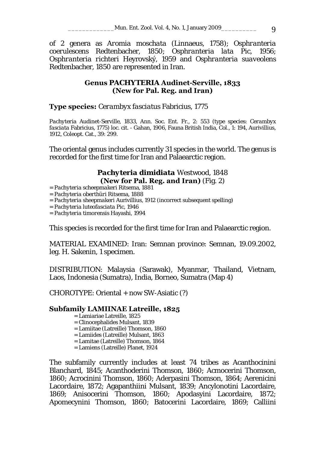of 2 genera as *Aromia moschata* (Linnaeus, 1758); *Osphranteria coerulescens* Redtenbacher, 1850; *Osphranteria lata* Pic, 1956; *Osphranteria richteri* Heyrovský, 1959 and *Osphranteria suaveolens*  Redtenbacher, 1850 are represented in Iran.

## **Genus** *PACHYTERIA* **Audinet-Serville, 1833 (New for Pal. Reg. and Iran)**

**Type species:** *Cerambyx fasciatus* Fabricius, 1775

*Pachyteria* Audinet-Serville, 1833, Ann. Soc. Ent. Fr., 2: 553 (type species: *Cerambyx fasciata* Fabricius, 1775) loc. cit. - Gahan, 1906, Fauna British India, Col., 1: 194, Aurivillius, 1912, Coleopt. Cat., 39: 299.

The oriental genus includes currently 31 species in the world. The genus is recorded for the first time for Iran and Palaearctic region.

# *Pachyteria dimidiata* Westwood, 1848 **(New for Pal. Reg. and Iran)** (Fig. 2) = *Pachyteria scheepmakeri* Ritsema, 1881

- = *Pachyteria oberthüri* Ritsema, 1888
- = *Pachyteria sheepmakeri* Aurivillius, 1912 (incorrect subsequent spelling)

= *Pachyteria luteofasciata* Pic, 1946

= *Pachyteria timorensis* Hayashi, 1994

This species is recorded for the first time for Iran and Palaearctic region.

MATERIAL EXAMINED: Iran: Semnan province: Semnan, 19.09.2002, leg. H. Sakenin, 1 specimen.

DISTRIBUTION: Malaysia (Sarawak), Myanmar, Thailand, Vietnam, Laos, Indonesia (Sumatra), India, Borneo, Sumatra (Map 4)

CHOROTYPE: Oriental + now SW-Asiatic (?)

## **Subfamily LAMIINAE Latreille, 1825**

- = Lamiariae Latreille, 1825
- = Clinocephalides Mulsant, 1839
- = Lamiitae (Latreille) Thomson, 1860
- = Lamiides (Latreille) Mulsant, 1863
- = Lamitae (Latreille) Thomson, 1864
- = Lamiens (Latreille) Planet, 1924

The subfamily currently includes at least 74 tribes as Acanthocinini Blanchard, 1845; Acanthoderini Thomson, 1860; Acmocerini Thomson, 1860; Acrocinini Thomson, 1860; Aderpasini Thomson, 1864; Aerenicini Lacordaire, 1872; Agapanthiini Mulsant, 1839; Ancylonotini Lacordaire, 1869; Anisocerini Thomson, 1860; Apodasyini Lacordaire, 1872; Apomecynini Thomson, 1860; Batocerini Lacordaire, 1869; Calliini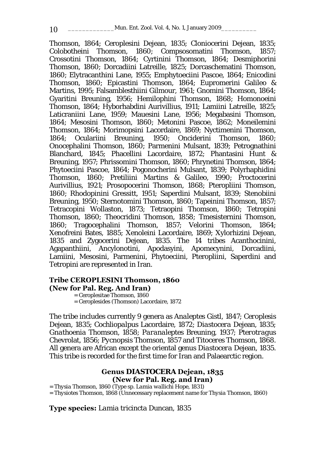Thomson, 1864; Ceroplesini Dejean, 1835; Cloniocerini Dejean, 1835; Colobotheini Thomson, 1860; Compsosomatini Thomson, 1857; Crossotini Thomson, 1864; Cyrtinini Thomson, 1864; Desmiphorini Thomson, 1860; Dorcadiini Latreille, 1825; Dorcaschematini Thomson, 1860; Elytracanthini Lane, 1955; Emphytoeciini Pascoe, 1864; Enicodini Thomson, 1860; Epicastini Thomson, 1864; Eupromerini Galileo & Martins, 1995; Falsamblesthiini Gilmour, 1961; Gnomini Thomson, 1864; Gyaritini Breuning, 1956; Hemilophini Thomson, 1868; Homonoeini Thomson, 1864; Hyborhabdini Aurivillius, 1911; Lamiini Latreille, 1825; Laticraniini Lane, 1959; Mauesini Lane, 1956; Megabasini Thomson, 1864; Mesosini Thomson, 1860; Metonini Pascoe, 1862; Moneilemini Thomson, 1864; Morimopsini Lacordaire, 1869; Nyctimenini Thomson, 1864; Oculariini Breuning, 1950; Onciderini Thomson, 1860; Onocephalini Thomson, 1860; Parmenini Mulsant, 1839; Petrognathini Blanchard, 1845; Phacellini Lacordaire, 1872; Phantasini Hunt & Breuning, 1957; Phrissomini Thomson, 1860; Phrynetini Thomson, 1864; Phytoeciini Pascoe, 1864; Pogonocherini Mulsant, 1839; Polyrhaphidini Thomson, 1860; Pretiliini Martins & Galileo, 1990; Proctocerini Aurivillius, 1921; Prosopocerini Thomson, 1868; Pteropliini Thomson, 1860; Rhodopinini Gressitt, 1951; Saperdini Mulsant, 1839; Stenobiini Breuning, 1950; Sternotomini Thomson, 1860; Tapeinini Thomson, 1857; Tetracopini Wollaston, 1873; Tetraopini Thomson, 1860; Tetropini Thomson, 1860; Theocridini Thomson, 1858; Tmesisternini Thomson, 1860; Tragocephalini Thomson, 1857; Velorini Thomson, 1864; Xenofreini Bates, 1885; Xenoleini Lacordaire, 1869; Xylorhizini Dejean, 1835 and Zygocerini Dejean, 1835. The 14 tribes Acanthocinini, Agapanthiini, Ancylonotini, Apodasyini, Apomecynini, Dorcadiini, Lamiini, Mesosini, Parmenini, Phytoeciini, Pteropliini, Saperdini and Tetropini are represented in Iran.

#### **Tribe CEROPLESINI Thomson, 1860 (New for Pal. Reg. And Iran)**

= Ceroplesitae Thomson, 1860 = Ceroplesides (Thomson) Lacordaire, 1872

The tribe includes currently 9 genera as *Analeptes* Gistl, 1847; *Ceroplesis* Dejean, 1835; *Cochliopalpus* Lacordaire, 1872; *Diastocera* Dejean, 1835; *Gnathoenia* Thomson, 1858; *Paranaleptes* Breuning, 1937; *Pterotragus* Chevrolat, 1856; *Pycnopsis* Thomson, 1857 and *Titoceres* Thomson, 1868. All genera are African except the oriental genus *Diastocera* Dejean, 1835. This tribe is recorded for the first time for Iran and Palaearctic region.

#### **Genus** *DIASTOCERA* **Dejean, 1835 (New for Pal. Reg. and Iran)**

= *Thysia* Thomson, 1860 (Type sp. *Lamia wallichi* Hope, 1831)

= *Thysiotes* Thomson, 1868 (Unnecessary replacement name for *Thysia* Thomson, 1860)

**Type species:** *Lamia tricincta* Duncan, 1835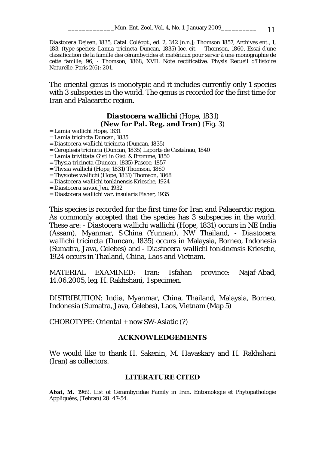\_\_\_\_\_\_\_\_\_\_\_\_\_Mun. Ent. Zool. Vol. 4, No. 1, January 2009\_\_\_\_\_\_\_\_\_\_ 11

*Diastocera* Dejean, 1835, Catal. Coléopt., ed. 2, 342 [n.n.]; Thomson 1857, Archives ent., 1, 183. (type species: *Lamia tricincta* Duncan, 1835) *loc. cit.* – Thomson, 1860, Essai d'une classification de la famille des cérambycides et matériaux pour servir à une monographie de cette famille, 96, - Thomson, 1868, XVII. Note rectificative. Physis Recueil d'Histoire Naturelle, Paris 2(6): 201.

The oriental genus is monotypic and it includes currently only 1 species with 3 subspecies in the world. The genus is recorded for the first time for Iran and Palaearctic region.

# *Diastocera wallichi* (Hope, 1831) **(New for Pal. Reg. and Iran)** (Fig. 3) = *Lamia wallichi* Hope, 1831

- 
- = *Lamia tricincta* Duncan, 1835
- = *Diastocera wallichi tricincta* (Duncan, 1835)
- = *Ceroplesis tricincta* (Duncan, 1835) Laporte de Castelnau, 1840
- = *Lamia trivittata* Gistl in Gistl & Bromme, 1850
- = *Thysia tricincta* (Duncan, 1835) Pascoe, 1857
- = *Thysia wallichi* (Hope, 1831) Thomson, 1860
- = *Thysiotes wallichi* (Hope, 1831) Thomson, 1868
- = *Diastocera wallichi tonkinensis* Kriesche, 1924
- = *Diastocera savioi* Jen, 1932
- = *Diastocera wallichi var. insularis* Fisher, 1935

This species is recorded for the first time for Iran and Palaearctic region. As commonly accepted that the species has 3 subspecies in the world. These are: - *Diastocera wallichi wallichi* (Hope, 1831) occurs in NE India (Assam), Myanmar, S China (Yunnan), NW Thailand, - *Diastocera wallichi tricincta* (Duncan, 1835) occurs in Malaysia, Borneo, Indonesia (Sumatra, Java, Celebes) and - *Diastocera wallichi tonkinensis* Kriesche, 1924 occurs in Thailand, China, Laos and Vietnam.

MATERIAL EXAMINED: Iran: Isfahan province: Najaf-Abad, 14.06.2005, leg. H. Rakhshani, 1 specimen.

DISTRIBUTION: India, Myanmar, China, Thailand, Malaysia, Borneo, Indonesia (Sumatra, Java, Celebes), Laos, Vietnam (Map 5)

CHOROTYPE: Oriental + now SW-Asiatic (?)

#### **ACKNOWLEDGEMENTS**

We would like to thank H. Sakenin, M. Havaskary and H. Rakhshani (Iran) as collectors.

#### **LITERATURE CITED**

**Abai, M.** 1969. List of Cerambycidae Family in Iran. Entomologie et Phytopathologie Appliquées, (Tehran) 28: 47-54.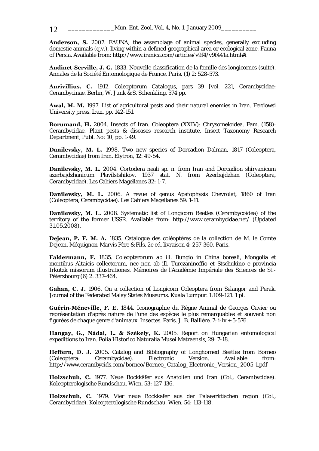**Anderson, S.** 2007. FAUNA, the assemblage of animal species, generally excluding domestic animals (q.v.), living within a defined geographical area or ecological zone. Fauna of Persia. Available from: http://www.iranica.com/articles/v9f4/v9f441a.html#i

**Audinet-Serville, J. G.** 1833. Nouvelle classification de la famille des longicornes (suite). Annales de la Société Entomologique de France, Paris. (1) 2: 528-573.

**Aurivillius, C.** 1912. Coleoptorum Catalogus, pars 39 [vol. 22], Cerambycidae: Cerambycinae. Berlin, W. Junk & S. Schenkling. 574 pp.

**Awal, M. M.** 1997. List of agricultural pests and their natural enemies in Iran. Ferdowsi University press. Iran, pp. 142-151.

**Borumand, H.** 2004. Insects of Iran. Coleoptera (XXIV): Chrysomeloidea. Fam. (158): Cerambycidae. Plant pests & diseases research institute, Insect Taxonomy Research Department, Publ. No: 10, pp. 1-49.

**Danilevsky, M. L.** 1998. Two new species of Dorcadion Dalman, 1817 (Coleoptera, Cerambycidae) from Iran. Elytron, 12: 49-54.

**Danilevsky, M. L.** 2004. Cortodera neali sp. n. from Iran and Dorcadion shirvanicum azerbajdzhanicum Plavilstshikov, 1937 stat. N. from Azerbajdzhan (Coleoptera, Cerambycidae). Les Cahiers Magellanes 32: 1-7.

**Danilevsky, M. L.** 2006. A revue of genus Apatophysis Chevrolat, 1860 of Iran (Coleoptera, Cerambycidae). Les Cahiers Magellanes 59: 1-11.

**Danilevsky, M. L.** 2008. Systematic list of Longicorn Beetles (Cerambycoidea) of the territory of the former USSR. Available from: http://www.cerambycidae.net/ (Updated 31.05.2008).

**Dejean, P. F. M. A.** 1835. Catalogue des coléoptères de la collection de M. le Comte Dejean. Méquignon-Marvis Père & Fils, 2e ed. livraison 4: 257-360. Paris.

**Faldermann, F.** 1835. Coleopterorum ab ill. Bungio in China boreali, Mongolia et montibus Altaicis collectorum, nec non ab ill. Turczaninoffio et Stschukino e provincia Irkutzk missorum illustrationes. Mémoires de l'Académie Impériale des Sciences de St.- Pétersbourg (6) 2: 337-464.

**Gahan, C. J.** 1906. On a collection of Longicorn Coleoptera from Selangor and Perak. Journal of the Federated Malay States Museums. Kuala Lumpur. 1:109-121. 1 pl.

**Guérin-Méneville, F. E.** 1844. Iconographie du Règne Animal de Georges Cuvier ou représentation d'après nature de l'une des espèces le plus remarquables et souvent non figurées de chaque genre d'animaux. Insectes. Paris. J. B. Baillère. 7: i-iv + 5-576.

**Hangay, G., Nádai, L. & Székely, K.** 2005. Report on Hungarian entomological expeditions to Iran. Folia Historico Naturalia Musei Matraensis, 29: 7-18.

**Heffern, D. J.** 2005. Catalog and Bibliography of Longhorned Beetles from Borneo (Coleoptera: Cerambycidae). Electronic Version. Available from: http://www.cerambycids.com/borneo/Borneo\_Catalog\_Electronic\_Version\_2005-1.pdf

**Holzschuh, C.** 1977. Neue Bockkäfer aus Anatolien und Iran (Col., Cerambycidae). Koleopterologische Rundschau, Wien, 53: 127-136.

**Holzschuh, C.** 1979. Vier neue Bockkafer aus der Palaearktischen region (Col., Cerambycidae). Koleopterologische Rundschau, Wien, 54: 113-118.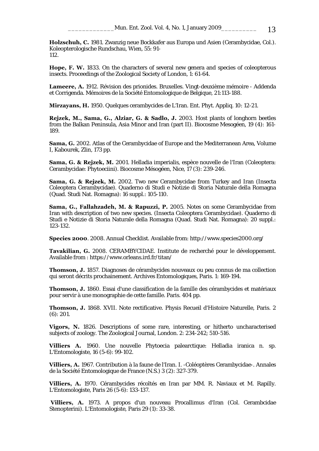**Holzschuh, C.** 1981. Zwanzig neue Bockkafer aus Europa und Asien (Cerambycidae, Col.). Koleopterologische Rundschau, Wien, 55: 91- 112.

**Hope, F. W.** 1833. On the characters of several new genera and species of coleopterous insects. Proceedings of the Zoological Society of London, 1: 61-64.

**Lameere, A.** 1912. Révision des prionides. Bruxelles. Vingt-deuxième mémoire - Addenda et Corrigenda. Mémoires de la Société Entomologique de Belgique, 21:113-188.

**Mirzayans, H.** 1950. Quelques cerambycides de L'Iran. Ent. Phyt. Appliq. 10: 12-21.

**Rejzek, M., Sama, G., Alziar, G. & Sadlo, J.** 2003. Host plants of longhorn beetles from the Balkan Peninsula, Asia Minor and Iran (part II). Biocosme Mesogéen, 19 (4): 161- 189.

**Sama, G.** 2002. Atlas of the Cerambycidae of Europe and the Mediterranean Area, Volume I, Kabourek, Zlin, 173 pp.

**Sama, G. & Rejzek, M.** 2001. Helladia imperialis, espèce nouvelle de l'Iran (Coleoptera: Cerambycidae: Phytoeciini). Biocosme Mésogéen, Nice, 17 (3): 239-246.

**Sama, G. & Rejzek, M.** 2002. Two new Cerambycidae from Turkey and Iran (Insecta Coleoptera Cerambycidae). Quaderno di Studi e Notizie di Storia Naturale della Romagna (Quad. Studi Nat. Romagna): 16 suppl.: 105-110.

**Sama, G., Fallahzadeh, M. & Rapuzzi, P.** 2005. Notes on some Cerambycidae from Iran with description of two new species. (Insecta Coleoptera Cerambycidae). Quaderno di Studi e Notizie di Storia Naturale della Romagna (Quad. Studi Nat. Romagna): 20 suppl.: 123-132.

**Species 2000**. 2008. Annual Checklist. Available from: http://www.species2000.org/

**Tavakilian, G.** 2008. CERAMBYCIDAE. Institute de recherché pour le développement. Available from : https://www.orleans.ird.fr/titan/

**Thomson, J.** 1857. Diagnoses de cérambycides nouveaux ou peu connus de ma collection qui seront décrits prochainement. Archives Entomologiques, Paris. 1: 169-194.

**Thomson, J.** 1860. Essai d'une classification de la famille des cérambycides et matériaux pour servir à une monographie de cette famille. Paris. 404 pp.

**Thomson, J.** 1868. XVII. Note rectificative. Physis Recueil d'Histoire Naturelle, Paris. 2 (6): 201.

**Vigors, N.** 1826. Descriptions of some rare, interesting, or hitherto uncharacterised subjects of zoology. The Zoological Journal, London. 2: 234-242; 510-516.

**Villiers A.** 1960. Une nouvelle Phytoecia palearctique: Helladia iranica n. sp. L'Entomologiste, 16 (5-6): 99-102.

**Villiers, A.** 1967. Contribution à la faune de l'Iran. I. -Coléoptères Cerambycidae-. Annales de la Société Entomologique de France (N.S.) 3 (2): 327-379.

**Villiers, A.** 1970. Cérambycides récoltés en Iran par MM. R. Naviaux et M. Rapilly. L'Entomologiste, Paris 26 (5-6): 133-137.

 **Villiers, A.** 1973. A propos d'un nouveau Procallimus d'Iran (Col. Cerambcidae Stenopterini). L'Entomologiste, Paris 29 (1): 33-38.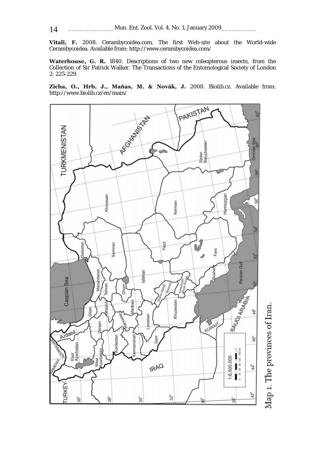**Vitali, F.** 2008. Cerambycoidea.com. The first Web-site about the World-wide Cerambycoidea. Available from: http://www.cerambycoidea.com/

**Waterhouse, G. R.** 1840. Descriptions of two new coleopterous insects, from the Collection of Sir Patrick Walker. The Transactions of the Entomological Society of London 2: 225-229.

**Zicha, O., Hrb, J., Maňas, M. & Novák, J.** 2008. Biolib.cz. Available from: http://www.biolib.cz/en/main/



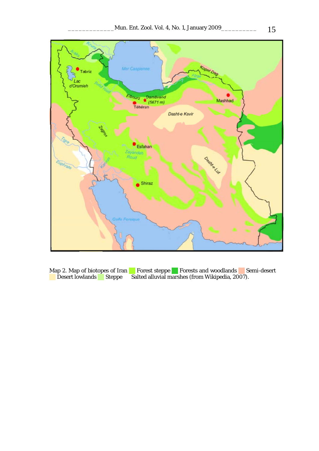

Map 2. Map of biotopes of Iran Forest steppe Forests and woodlands Semi-desert Desert lowlands Steppe Salted alluvial marshes (from Wikipedia, 2007).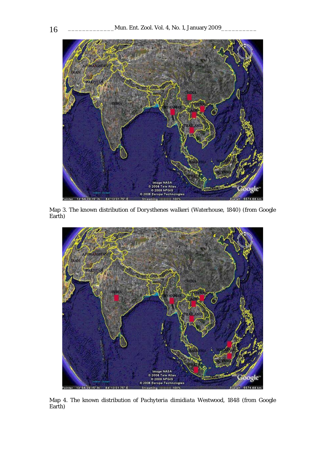

Map 3. The known distribution of *Dorysthenes walkeri* (Waterhouse, 1840) (from Google Earth)



Map 4. The known distribution of *Pachyteria dimidiata* Westwood, 1848 (from Google Earth)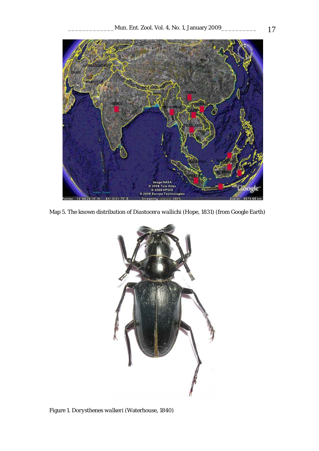

Map 5. The known distribution of *Diastocera wallichi* (Hope, 1831) (from Google Earth)



Figure 1. *Dorysthenes walkeri* (Waterhouse, 1840)